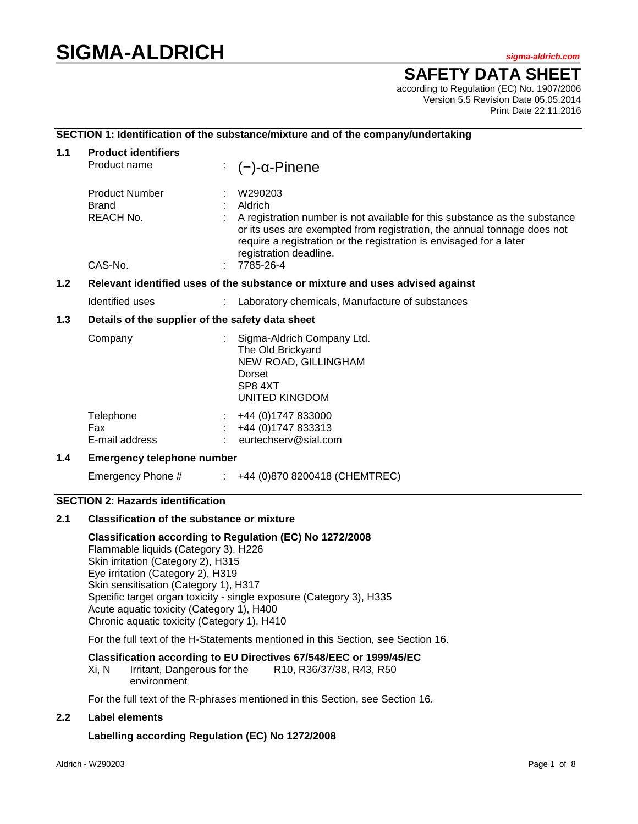# **SIGMA-ALDRICH** *sigma-aldrich.com*

# **SAFETY DATA SHEET**

according to Regulation (EC) No. 1907/2006 Version 5.5 Revision Date 05.05.2014 Print Date 22.11.2016

#### **SECTION 1: Identification of the substance/mixture and of the company/undertaking**

| 1.1                                                                                    | <b>Product identifiers</b><br>Product name                    |  | $(-)$ -α-Pinene                                                                                                                                                                                                                                                                           |  |
|----------------------------------------------------------------------------------------|---------------------------------------------------------------|--|-------------------------------------------------------------------------------------------------------------------------------------------------------------------------------------------------------------------------------------------------------------------------------------------|--|
|                                                                                        | <b>Product Number</b><br><b>Brand</b><br>REACH No.<br>CAS-No. |  | W290203<br>Aldrich<br>A registration number is not available for this substance as the substance<br>or its uses are exempted from registration, the annual tonnage does not<br>require a registration or the registration is envisaged for a later<br>registration deadline.<br>7785-26-4 |  |
| $1.2$<br>Relevant identified uses of the substance or mixture and uses advised against |                                                               |  |                                                                                                                                                                                                                                                                                           |  |
|                                                                                        |                                                               |  |                                                                                                                                                                                                                                                                                           |  |
|                                                                                        | Identified uses                                               |  | Laboratory chemicals, Manufacture of substances                                                                                                                                                                                                                                           |  |
| 1.3                                                                                    | Details of the supplier of the safety data sheet              |  |                                                                                                                                                                                                                                                                                           |  |
|                                                                                        | Company                                                       |  | Sigma-Aldrich Company Ltd.<br>The Old Brickyard<br>NEW ROAD, GILLINGHAM<br>Dorset<br>SP8 4XT<br>UNITED KINGDOM                                                                                                                                                                            |  |
|                                                                                        | Telephone<br>Fax<br>E-mail address                            |  | +44 (0) 1747 833000<br>+44 (0) 1747 833313<br>eurtechserv@sial.com                                                                                                                                                                                                                        |  |
| 1.4                                                                                    | <b>Emergency telephone number</b>                             |  |                                                                                                                                                                                                                                                                                           |  |

Emergency Phone # : +44 (0)870 8200418 (CHEMTREC)

### **SECTION 2: Hazards identification**

#### **2.1 Classification of the substance or mixture**

**Classification according to Regulation (EC) No 1272/2008** Flammable liquids (Category 3), H226 Skin irritation (Category 2), H315 Eye irritation (Category 2), H319 Skin sensitisation (Category 1), H317 Specific target organ toxicity - single exposure (Category 3), H335 Acute aquatic toxicity (Category 1), H400 Chronic aquatic toxicity (Category 1), H410

For the full text of the H-Statements mentioned in this Section, see Section 16.

#### **Classification according to EU Directives 67/548/EEC or 1999/45/EC**

Xi, N Irritant, Dangerous for the environment R10, R36/37/38, R43, R50

For the full text of the R-phrases mentioned in this Section, see Section 16.

#### **2.2 Label elements**

#### **Labelling according Regulation (EC) No 1272/2008**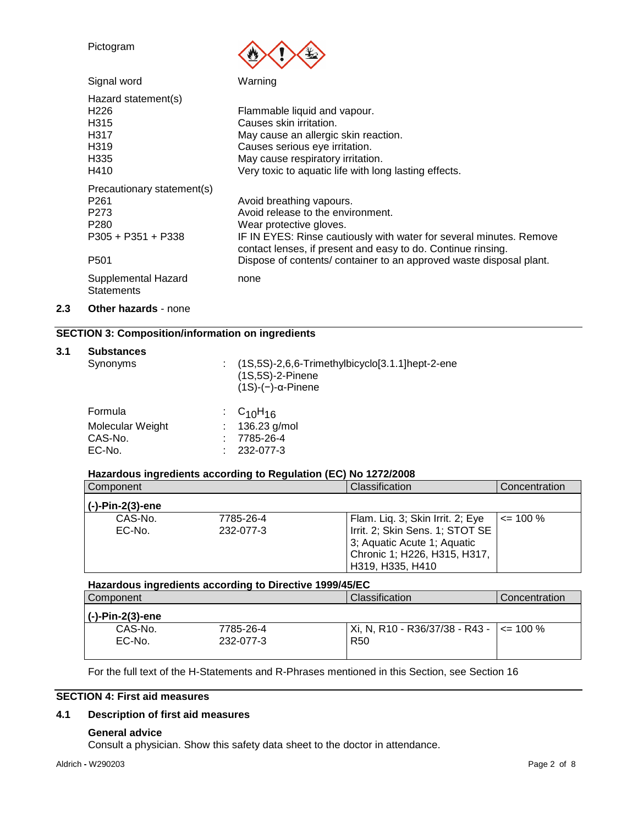|     | Pictogram                                                                                                              |                                                                                                                                                                                                                                                                                                        |
|-----|------------------------------------------------------------------------------------------------------------------------|--------------------------------------------------------------------------------------------------------------------------------------------------------------------------------------------------------------------------------------------------------------------------------------------------------|
|     | Signal word                                                                                                            | Warning                                                                                                                                                                                                                                                                                                |
|     | Hazard statement(s)<br>H <sub>226</sub><br>H <sub>3</sub> 15<br>H317<br>H319<br>H335<br>H410                           | Flammable liquid and vapour.<br>Causes skin irritation.<br>May cause an allergic skin reaction.<br>Causes serious eye irritation.<br>May cause respiratory irritation.<br>Very toxic to aquatic life with long lasting effects.                                                                        |
|     | Precautionary statement(s)<br>P <sub>261</sub><br>P273<br>P <sub>280</sub><br>$P305 + P351 + P338$<br>P <sub>501</sub> | Avoid breathing vapours.<br>Avoid release to the environment.<br>Wear protective gloves.<br>IF IN EYES: Rinse cautiously with water for several minutes. Remove<br>contact lenses, if present and easy to do. Continue rinsing.<br>Dispose of contents/ container to an approved waste disposal plant. |
|     | Supplemental Hazard<br><b>Statements</b>                                                                               | none                                                                                                                                                                                                                                                                                                   |
| 2.3 | <b>Other hazards - none</b>                                                                                            |                                                                                                                                                                                                                                                                                                        |

#### **SECTION 3: Composition/information on ingredients**

#### **3.1 Substances**

| Synonyms         | $(1S,5S)$ -2,6,6-Trimethylbicyclo[3.1.1]hept-2-ene<br>$(1S, 5S)$ -2-Pinene<br>$(1S)-(-)-\alpha$ -Pinene |
|------------------|---------------------------------------------------------------------------------------------------------|
| Formula          | : $C_{10}H_{16}$                                                                                        |
| Molecular Weight | 136.23 g/mol                                                                                            |
| CAS-No.          | 7785-26-4                                                                                               |
| EC-No.           | 232-077-3                                                                                               |

#### **Hazardous ingredients according to Regulation (EC) No 1272/2008**

| Component        |           | Classification                   | Concentration |
|------------------|-----------|----------------------------------|---------------|
| (-)-Pin-2(3)-ene |           |                                  |               |
| CAS-No.          | 7785-26-4 | Flam. Lig. 3; Skin Irrit. 2; Eye | $\leq$ 100 %  |
| EC-No.           | 232-077-3 | Irrit. 2; Skin Sens. 1; STOT SE  |               |
|                  |           | 3; Aquatic Acute 1; Aquatic      |               |
|                  |           | Chronic 1; H226, H315, H317,     |               |
|                  |           | H319, H335, H410                 |               |

**Hazardous ingredients according to Directive 1999/45/EC**

| Component         |                        | <b>Classification</b>                                              | Concentration |
|-------------------|------------------------|--------------------------------------------------------------------|---------------|
| (-)-Pin-2(3)-ene  |                        |                                                                    |               |
| CAS-No.<br>EC-No. | 7785-26-4<br>232-077-3 | Xi, N, R10 - R36/37/38 - R43 - $\vert$ <= 100 %<br>R <sub>50</sub> |               |
|                   |                        |                                                                    |               |

For the full text of the H-Statements and R-Phrases mentioned in this Section, see Section 16

#### **SECTION 4: First aid measures**

### **4.1 Description of first aid measures**

#### **General advice**

Consult a physician. Show this safety data sheet to the doctor in attendance.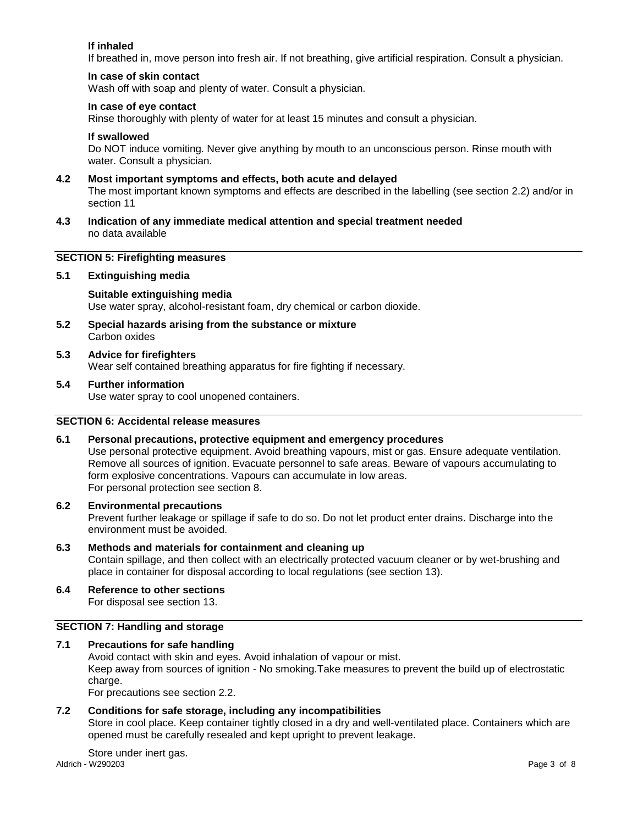#### **If inhaled**

If breathed in, move person into fresh air. If not breathing, give artificial respiration. Consult a physician.

#### **In case of skin contact**

Wash off with soap and plenty of water. Consult a physician.

#### **In case of eye contact**

Rinse thoroughly with plenty of water for at least 15 minutes and consult a physician.

#### **If swallowed**

Do NOT induce vomiting. Never give anything by mouth to an unconscious person. Rinse mouth with water. Consult a physician.

#### **4.2 Most important symptoms and effects, both acute and delayed**

The most important known symptoms and effects are described in the labelling (see section 2.2) and/or in section 11

**4.3 Indication of any immediate medical attention and special treatment needed** no data available

#### **SECTION 5: Firefighting measures**

#### **5.1 Extinguishing media**

#### **Suitable extinguishing media** Use water spray, alcohol-resistant foam, dry chemical or carbon dioxide.

**5.2 Special hazards arising from the substance or mixture** Carbon oxides

#### **5.3 Advice for firefighters**

Wear self contained breathing apparatus for fire fighting if necessary.

#### **5.4 Further information**

Use water spray to cool unopened containers.

#### **SECTION 6: Accidental release measures**

#### **6.1 Personal precautions, protective equipment and emergency procedures**

Use personal protective equipment. Avoid breathing vapours, mist or gas. Ensure adequate ventilation. Remove all sources of ignition. Evacuate personnel to safe areas. Beware of vapours accumulating to form explosive concentrations. Vapours can accumulate in low areas. For personal protection see section 8.

#### **6.2 Environmental precautions**

Prevent further leakage or spillage if safe to do so. Do not let product enter drains. Discharge into the environment must be avoided.

#### **6.3 Methods and materials for containment and cleaning up** Contain spillage, and then collect with an electrically protected vacuum cleaner or by wet-brushing and place in container for disposal according to local regulations (see section 13).

#### **6.4 Reference to other sections**

For disposal see section 13.

#### **SECTION 7: Handling and storage**

#### **7.1 Precautions for safe handling**

Avoid contact with skin and eyes. Avoid inhalation of vapour or mist.

Keep away from sources of ignition - No smoking.Take measures to prevent the build up of electrostatic charge.

For precautions see section 2.2.

#### **7.2 Conditions for safe storage, including any incompatibilities**

Store in cool place. Keep container tightly closed in a dry and well-ventilated place. Containers which are opened must be carefully resealed and kept upright to prevent leakage.

Aldrich **-** W290203 Page 3 of 8 Store under inert gas.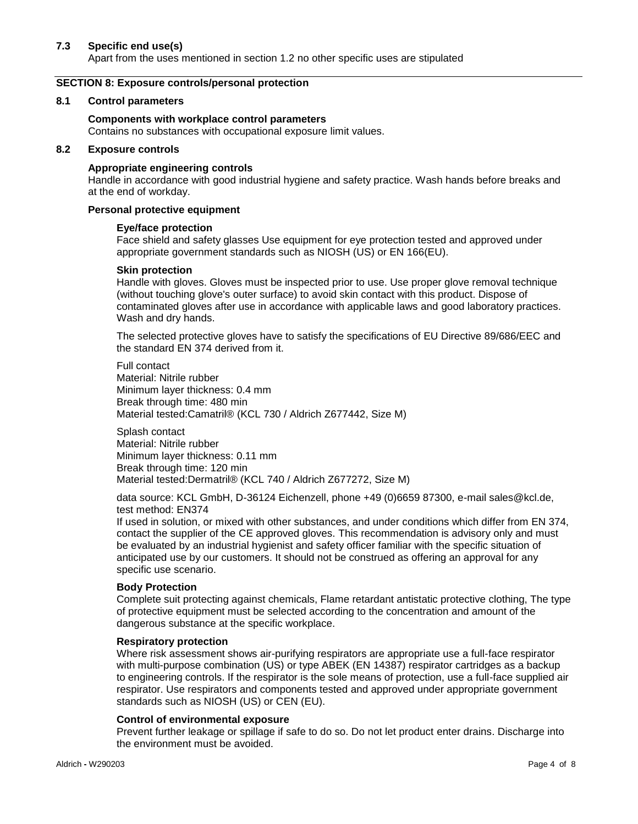#### **7.3 Specific end use(s)**

Apart from the uses mentioned in section 1.2 no other specific uses are stipulated

#### **SECTION 8: Exposure controls/personal protection**

#### **8.1 Control parameters**

#### **Components with workplace control parameters**

Contains no substances with occupational exposure limit values.

#### **8.2 Exposure controls**

#### **Appropriate engineering controls**

Handle in accordance with good industrial hygiene and safety practice. Wash hands before breaks and at the end of workday.

#### **Personal protective equipment**

#### **Eye/face protection**

Face shield and safety glasses Use equipment for eye protection tested and approved under appropriate government standards such as NIOSH (US) or EN 166(EU).

#### **Skin protection**

Handle with gloves. Gloves must be inspected prior to use. Use proper glove removal technique (without touching glove's outer surface) to avoid skin contact with this product. Dispose of contaminated gloves after use in accordance with applicable laws and good laboratory practices. Wash and dry hands.

The selected protective gloves have to satisfy the specifications of EU Directive 89/686/EEC and the standard EN 374 derived from it.

Full contact Material: Nitrile rubber Minimum layer thickness: 0.4 mm Break through time: 480 min Material tested:Camatril® (KCL 730 / Aldrich Z677442, Size M)

Splash contact Material: Nitrile rubber Minimum layer thickness: 0.11 mm Break through time: 120 min Material tested:Dermatril® (KCL 740 / Aldrich Z677272, Size M)

data source: KCL GmbH, D-36124 Eichenzell, phone +49 (0)6659 87300, e-mail sales@kcl.de, test method: EN374

If used in solution, or mixed with other substances, and under conditions which differ from EN 374, contact the supplier of the CE approved gloves. This recommendation is advisory only and must be evaluated by an industrial hygienist and safety officer familiar with the specific situation of anticipated use by our customers. It should not be construed as offering an approval for any specific use scenario.

#### **Body Protection**

Complete suit protecting against chemicals, Flame retardant antistatic protective clothing, The type of protective equipment must be selected according to the concentration and amount of the dangerous substance at the specific workplace.

#### **Respiratory protection**

Where risk assessment shows air-purifying respirators are appropriate use a full-face respirator with multi-purpose combination (US) or type ABEK (EN 14387) respirator cartridges as a backup to engineering controls. If the respirator is the sole means of protection, use a full-face supplied air respirator. Use respirators and components tested and approved under appropriate government standards such as NIOSH (US) or CEN (EU).

#### **Control of environmental exposure**

Prevent further leakage or spillage if safe to do so. Do not let product enter drains. Discharge into the environment must be avoided.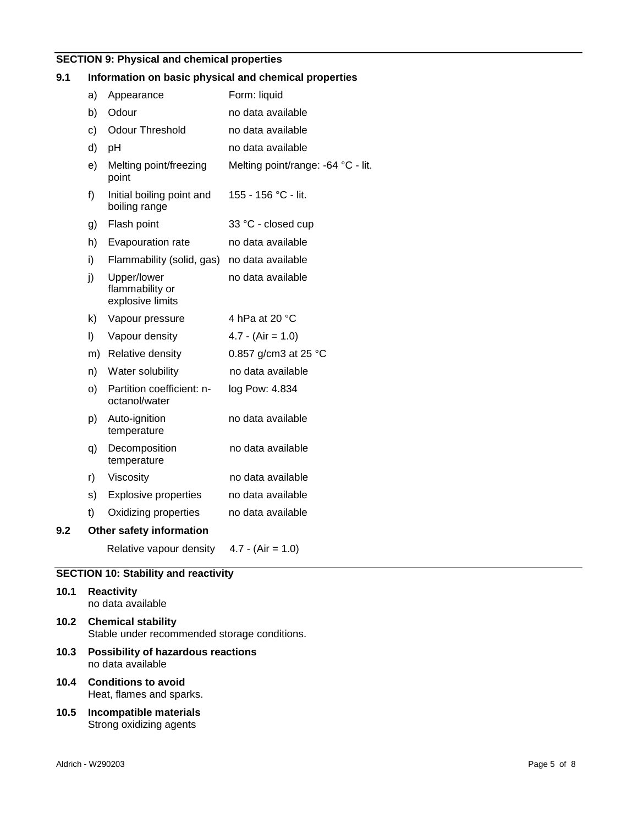# **SECTION 9: Physical and chemical properties**

## **9.1 Information on basic physical and chemical properties**

|     | a) | Appearance                                         | Form: liquid                       |
|-----|----|----------------------------------------------------|------------------------------------|
|     | b) | Odour                                              | no data available                  |
|     | c) | <b>Odour Threshold</b>                             | no data available                  |
|     | d) | рH                                                 | no data available                  |
|     | e) | Melting point/freezing<br>point                    | Melting point/range: -64 °C - lit. |
|     | f) | Initial boiling point and<br>boiling range         | 155 - 156 °C - lit.                |
|     | g) | Flash point                                        | 33 °C - closed cup                 |
|     | h) | Evapouration rate                                  | no data available                  |
|     | i) | Flammability (solid, gas)                          | no data available                  |
|     | j) | Upper/lower<br>flammability or<br>explosive limits | no data available                  |
|     | k) | Vapour pressure                                    | 4 hPa at 20 °C                     |
|     | I) | Vapour density                                     | $4.7 - (Air = 1.0)$                |
|     | m) | Relative density                                   | 0.857 g/cm3 at 25 °C               |
|     | n) | Water solubility                                   | no data available                  |
|     | O) | Partition coefficient: n-<br>octanol/water         | log Pow: 4.834                     |
|     | p) | Auto-ignition<br>temperature                       | no data available                  |
|     | q) | Decomposition<br>temperature                       | no data available                  |
|     | r) | Viscosity                                          | no data available                  |
|     | s) | <b>Explosive properties</b>                        | no data available                  |
|     | t) | Oxidizing properties                               | no data available                  |
| 9.2 |    | Other safety information                           |                                    |
|     |    | Relative vapour density                            | $4.7 - (Air = 1.0)$                |
|     |    |                                                    |                                    |

# **SECTION 10: Stability and reactivity**

|      | 10.1 Reactivity<br>no data available                                    |
|------|-------------------------------------------------------------------------|
|      | 10.2 Chemical stability<br>Stable under recommended storage conditions. |
| 10.3 | <b>Possibility of hazardous reactions</b><br>no data available          |
| 10.4 | <b>Conditions to avoid</b><br>Heat, flames and sparks.                  |
| 10.5 | Incompatible materials<br>Strong oxidizing agents                       |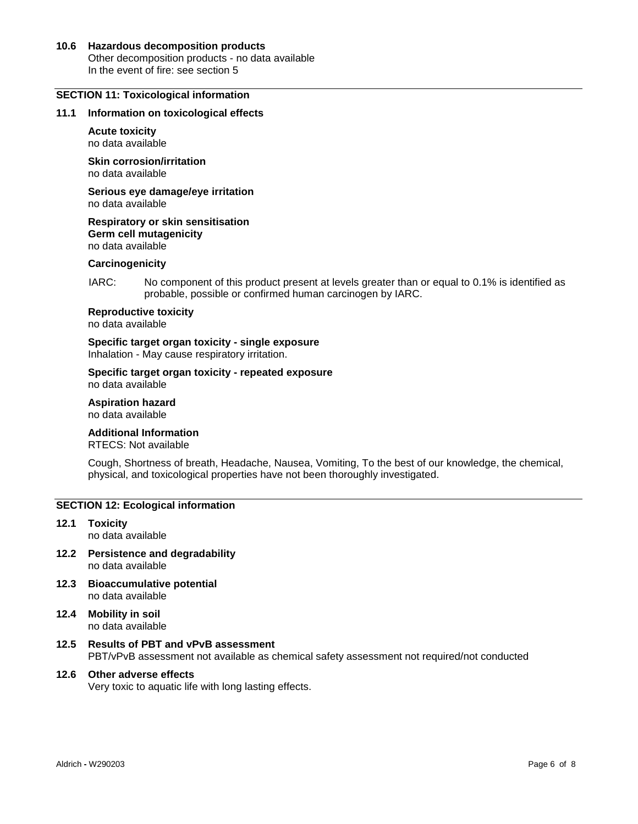#### **10.6 Hazardous decomposition products** Other decomposition products - no data available In the event of fire: see section 5

#### **SECTION 11: Toxicological information**

#### **11.1 Information on toxicological effects**

#### **Acute toxicity**

no data available

**Skin corrosion/irritation** no data available

**Serious eye damage/eye irritation** no data available

**Respiratory or skin sensitisation Germ cell mutagenicity** no data available

#### **Carcinogenicity**

IARC: No component of this product present at levels greater than or equal to 0.1% is identified as probable, possible or confirmed human carcinogen by IARC.

**Reproductive toxicity**

no data available

**Specific target organ toxicity - single exposure** Inhalation - May cause respiratory irritation.

#### **Specific target organ toxicity - repeated exposure** no data available

**Aspiration hazard** no data available

#### **Additional Information**

RTECS: Not available

Cough, Shortness of breath, Headache, Nausea, Vomiting, To the best of our knowledge, the chemical, physical, and toxicological properties have not been thoroughly investigated.

#### **SECTION 12: Ecological information**

- **12.1 Toxicity** no data available
- **12.2 Persistence and degradability** no data available
- **12.3 Bioaccumulative potential** no data available
- **12.4 Mobility in soil** no data available
- **12.5 Results of PBT and vPvB assessment** PBT/vPvB assessment not available as chemical safety assessment not required/not conducted

#### **12.6 Other adverse effects**

Very toxic to aquatic life with long lasting effects.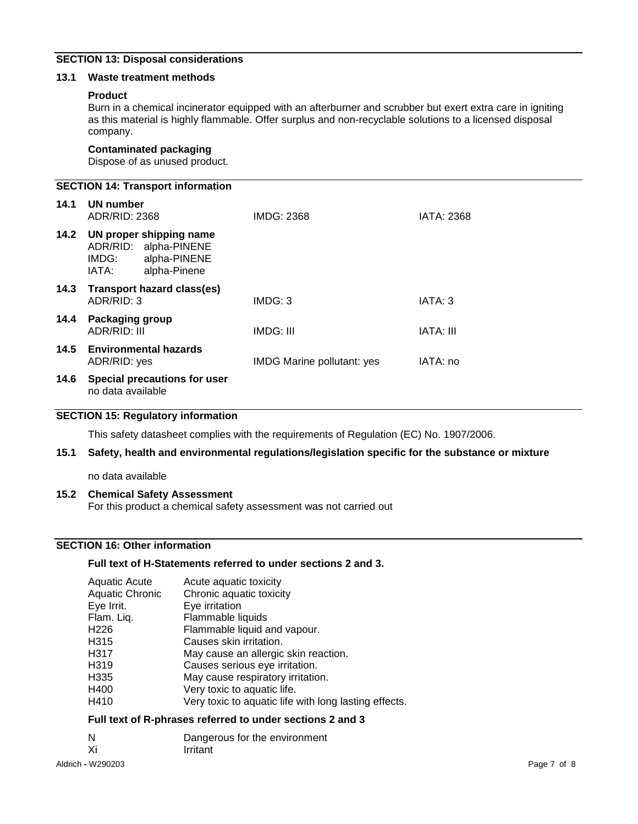### **SECTION 13: Disposal considerations**

#### **13.1 Waste treatment methods**

#### **Product**

Burn in a chemical incinerator equipped with an afterburner and scrubber but exert extra care in igniting as this material is highly flammable. Offer surplus and non-recyclable solutions to a licensed disposal company.

#### **Contaminated packaging**

Dispose of as unused product.

**SECTION 14: Transport information 14.1 UN number** ADR/RID: 2368 IMDG: 2368 IATA: 2368 **14.2 UN proper shipping name** ADR/RID: alpha-PINENE<br>IMDG: alpha-PINENE IMDG: alpha-PINENE<br>IATA: alpha-Pinene alpha-Pinene **14.3 Transport hazard class(es)** ADR/RID: 3 IMDG: 3 IMDG: 3 **14.4 Packaging group** ADR/RID: III **IMDG: III** IMDG: III **IATA: III 14.5 Environmental hazards** ADR/RID: yes **IMDG** Marine pollutant: yes IATA: no **14.6 Special precautions for user** no data available

### **SECTION 15: Regulatory information**

This safety datasheet complies with the requirements of Regulation (EC) No. 1907/2006.

#### **15.1 Safety, health and environmental regulations/legislation specific for the substance or mixture**

no data available

#### **15.2 Chemical Safety Assessment**

For this product a chemical safety assessment was not carried out

#### **SECTION 16: Other information**

#### **Full text of H-Statements referred to under sections 2 and 3.**

| <b>Aquatic Acute</b>   | Acute aquatic toxicity                                |
|------------------------|-------------------------------------------------------|
| <b>Aquatic Chronic</b> | Chronic aquatic toxicity                              |
| Eye Irrit.             | Eye irritation                                        |
| Flam. Liq.             | Flammable liquids                                     |
| H226                   | Flammable liquid and vapour.                          |
| H315                   | Causes skin irritation.                               |
| H317                   | May cause an allergic skin reaction.                  |
| H319                   | Causes serious eye irritation.                        |
| H335                   | May cause respiratory irritation.                     |
| H400                   | Very toxic to aquatic life.                           |
| H410                   | Very toxic to aquatic life with long lasting effects. |

#### **Full text of R-phrases referred to under sections 2 and 3**

| N             | Dangerous for the environment |
|---------------|-------------------------------|
| $\mathcal{L}$ | اللابعات والأحدورا            |

Xi Irritant